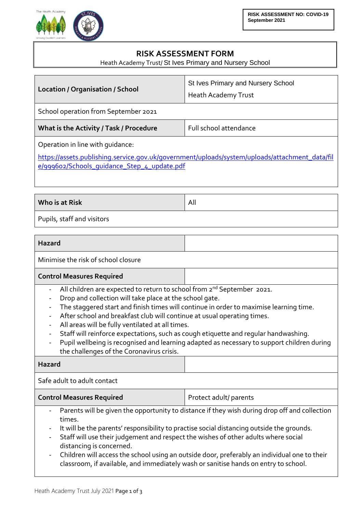

## **RISK ASSESSMENT FORM**

Heath Academy Trust/ St Ives Primary and Nursery School

| <b>Location / Organisation / School</b>                                                                                                                                           | St Ives Primary and Nursery School<br>Heath Academy Trust |  |
|-----------------------------------------------------------------------------------------------------------------------------------------------------------------------------------|-----------------------------------------------------------|--|
| School operation from September 2021                                                                                                                                              |                                                           |  |
| What is the Activity / Task / Procedure                                                                                                                                           | Full school attendance                                    |  |
| Operation in line with quidance:<br>https://assets.publishing.service.gov.uk/government/uploads/system/uploads/attachment_data/fil<br>e/999602/Schools_guidance_Step_4_update.pdf |                                                           |  |

| Who is at Risk             | All |
|----------------------------|-----|
| Pupils, staff and visitors |     |

| Hazard                                                                                                                                                                                                                                                                                                                                                                                                                                                                                                                                                                                                                               |                        |  |  |
|--------------------------------------------------------------------------------------------------------------------------------------------------------------------------------------------------------------------------------------------------------------------------------------------------------------------------------------------------------------------------------------------------------------------------------------------------------------------------------------------------------------------------------------------------------------------------------------------------------------------------------------|------------------------|--|--|
| Minimise the risk of school closure                                                                                                                                                                                                                                                                                                                                                                                                                                                                                                                                                                                                  |                        |  |  |
| <b>Control Measures Required</b>                                                                                                                                                                                                                                                                                                                                                                                                                                                                                                                                                                                                     |                        |  |  |
| All children are expected to return to school from 2 <sup>nd</sup> September 2021.<br>Drop and collection will take place at the school gate.<br>The staggered start and finish times will continue in order to maximise learning time.<br>After school and breakfast club will continue at usual operating times.<br>All areas will be fully ventilated at all times.<br>Staff will reinforce expectations, such as cough etiquette and regular handwashing.<br>$\overline{\phantom{a}}$<br>Pupil wellbeing is recognised and learning adapted as necessary to support children during<br>the challenges of the Coronavirus crisis. |                        |  |  |
| <b>Hazard</b>                                                                                                                                                                                                                                                                                                                                                                                                                                                                                                                                                                                                                        |                        |  |  |
| Safe adult to adult contact                                                                                                                                                                                                                                                                                                                                                                                                                                                                                                                                                                                                          |                        |  |  |
| <b>Control Measures Required</b>                                                                                                                                                                                                                                                                                                                                                                                                                                                                                                                                                                                                     | Protect adult/ parents |  |  |
| Parents will be given the opportunity to distance if they wish during drop off and collection<br>times.<br>It will be the parents' responsibility to practise social distancing outside the grounds.<br>Staff will use their judgement and respect the wishes of other adults where social<br>distancing is concerned.<br>Children will access the school using an outside door, preferably an individual one to their<br>classroom, if available, and immediately wash or sanitise hands on entry to school.                                                                                                                        |                        |  |  |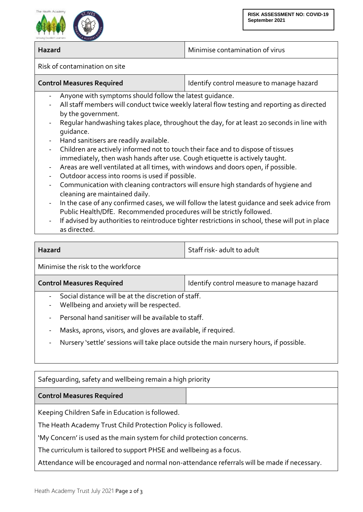

**Hazard** Minimise contamination of virus

Risk of contamination on site

| <b>Control Measures Required</b> | Identify control measure to manage hazard |
|----------------------------------|-------------------------------------------|
|----------------------------------|-------------------------------------------|

- Anyone with symptoms should follow the latest quidance.
- All staff members will conduct twice weekly lateral flow testing and reporting as directed by the government.
- Regular handwashing takes place, throughout the day, for at least 20 seconds in line with guidance.
- Hand sanitisers are readily available.
- Children are actively informed not to touch their face and to dispose of tissues immediately, then wash hands after use. Cough etiquette is actively taught.
- Areas are well ventilated at all times, with windows and doors open, if possible.
- Outdoor access into rooms is used if possible.
- Communication with cleaning contractors will ensure high standards of hygiene and cleaning are maintained daily.
- In the case of any confirmed cases, we will follow the latest guidance and seek advice from Public Health/DfE. Recommended procedures will be strictly followed.
- If advised by authorities to reintroduce tighter restrictions in school, these will put in place as directed.

| <b>Hazard</b>                                                                                   | Staff risk- adult to adult                |  |
|-------------------------------------------------------------------------------------------------|-------------------------------------------|--|
| Minimise the risk to the workforce                                                              |                                           |  |
| <b>Control Measures Required</b>                                                                | Identify control measure to manage hazard |  |
| Social distance will be at the discretion of staff.<br>Wellbeing and anxiety will be respected. |                                           |  |
| Personal hand sanitiser will be available to staff.                                             |                                           |  |
| Masks, aprons, visors, and gloves are available, if required.                                   |                                           |  |

Nursery 'settle' sessions will take place outside the main nursery hours, if possible.

Safeguarding, safety and wellbeing remain a high priority **Control Measures Required** Keeping Children Safe in Education is followed. The Heath Academy Trust Child Protection Policy is followed. 'My Concern' is used as the main system for child protection concerns.

The curriculum is tailored to support PHSE and wellbeing as a focus.

Attendance will be encouraged and normal non-attendance referrals will be made if necessary.